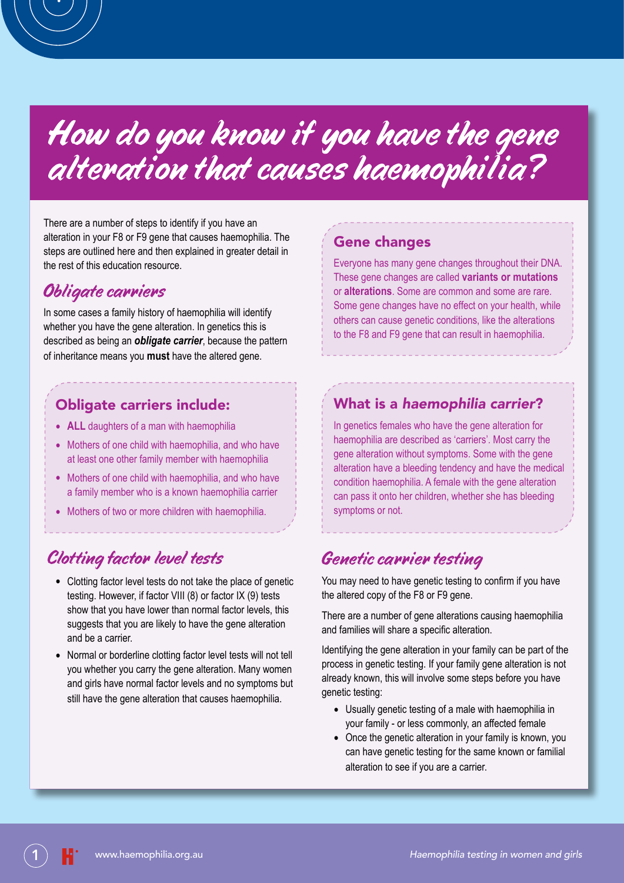# How do you know if you have the gene alteration that causes haemophilia?

There are a number of steps to identify if you have an alteration in your F8 or F9 gene that causes haemophilia. The steps are outlined here and then explained in greater detail in the rest of this education resource.

### **Obligate carriers**

In some cases a family history of haemophilia will identify whether you have the gene alteration. In genetics this is described as being an *obligate carrier*, because the pattern of inheritance means you **must** have the altered gene.

### Obligate carriers include:

- **ALL** daughters of a man with haemophilia
- Mothers of one child with haemophilia, and who have at least one other family member with haemophilia
- Mothers of one child with haemophilia, and who have a family member who is a known haemophilia carrier
- Mothers of two or more children with haemophilia.

### Clotting factor level tests

- Clotting factor level tests do not take the place of genetic testing. However, if factor VIII (8) or factor IX (9) tests show that you have lower than normal factor levels, this suggests that you are likely to have the gene alteration and be a carrier.
- Normal or borderline clotting factor level tests will not tell you whether you carry the gene alteration. Many women and girls have normal factor levels and no symptoms but still have the gene alteration that causes haemophilia.

### Gene changes

Everyone has many gene changes throughout their DNA. These gene changes are called **variants or mutations** or **alterations**. Some are common and some are rare. Some gene changes have no effect on your health, while others can cause genetic conditions, like the alterations to the F8 and F9 gene that can result in haemophilia.

### What is a *haemophilia carrier*?

In genetics females who have the gene alteration for haemophilia are described as 'carriers'. Most carry the gene alteration without symptoms. Some with the gene alteration have a bleeding tendency and have the medical condition haemophilia. A female with the gene alteration can pass it onto her children, whether she has bleeding symptoms or not.

### Genetic carrier testing

You may need to have genetic testing to confirm if you have the altered copy of the F8 or F9 gene.

There are a number of gene alterations causing haemophilia and families will share a specific alteration.

Identifying the gene alteration in your family can be part of the process in genetic testing. If your family gene alteration is not already known, this will involve some steps before you have genetic testing:

- Usually genetic testing of a male with haemophilia in your family - or less commonly, an affected female
- Once the genetic alteration in your family is known, you can have genetic testing for the same known or familial alteration to see if you are a carrier.